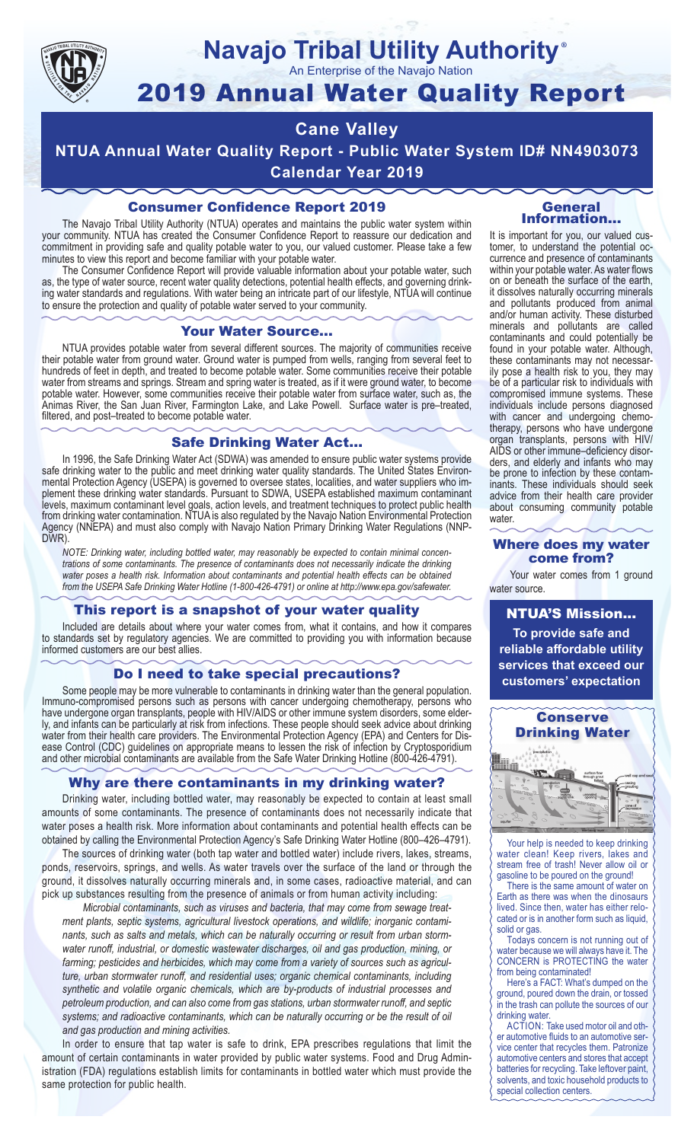

#### **Navajo Tribal Utility Authority** ®

An Enterprise of the Navajo Nation

# 2019 Annual Water Quality Report

## **Cane Valley**

**NTUA Annual Water Quality Report - Public Water System ID# NN4903073 Calendar Year 2019**

#### Consumer Confidence Report 2019

The Navajo Tribal Utility Authority (NTUA) operates and maintains the public water system within your community. NTUA has created the Consumer Confidence Report to reassure our dedication and commitment in providing safe and quality potable water to you, our valued customer. Please take a few minutes to view this report and become familiar with your potable water.

The Consumer Confidence Report will provide valuable information about your potable water, such as, the type of water source, recent water quality detections, potential health effects, and governing drinking water standards and regulations. With water being an intricate part of our lifestyle, NTUA will continue to ensure the protection and quality of potable water served to your community.

#### Your Water Source…

NTUA provides potable water from several different sources. The majority of communities receive their potable water from ground water. Ground water is pumped from wells, ranging from several feet to hundreds of feet in depth, and treated to become potable water. Some communities receive their potable water from streams and springs. Stream and spring water is treated, as if it were ground water, to become potable water. However, some communities receive their potable water from surface water, such as, the Animas River, the San Juan River, Farmington Lake, and Lake Powell. Surface water is pre–treated, filtered, and post–treated to become potable water.

#### Safe Drinking Water Act…

In 1996, the Safe Drinking Water Act (SDWA) was amended to ensure public water systems provide safe drinking water to the public and meet drinking water quality standards. The United States Environmental Protection Agency (USEPA) is governed to oversee states, localities, and water suppliers who implement these drinking water standards. Pursuant to SDWA, USEPA established maximum contaminant levels, maximum contaminant level goals, action levels, and treatment techniques to protect public health from drinking water contamination. NTUA is also regulated by the Navajo Nation Environmental Protection Agency (NNEPA) and must also comply with Navajo Nation Primary Drinking Water Regulations (NNP-DWR)

*NOTE: Drinking water, including bottled water, may reasonably be expected to contain minimal concentrations of some contaminants. The presence of contaminants does not necessarily indicate the drinking water poses a health risk. Information about contaminants and potential health effects can be obtained from the USEPA Safe Drinking Water Hotline (1-800-426-4791) or online at http://www.epa.gov/safewater.*

#### This report is a snapshot of your water quality

Included are details about where your water comes from, what it contains, and how it compares to standards set by regulatory agencies. We are committed to providing you with information because informed customers are our best allies.

#### Do I need to take special precautions?

Some people may be more vulnerable to contaminants in drinking water than the general population. Immuno-compromised persons such as persons with cancer undergoing chemotherapy, persons who have undergone organ transplants, people with HIV/AIDS or other immune system disorders, some elderly, and infants can be particularly at risk from infections. These people should seek advice about drinking water from their health care providers. The Environmental Protection Agency (EPA) and Centers for Disease Control (CDC) guidelines on appropriate means to lessen the risk of infection by Cryptosporidium and other microbial contaminants are available from the Safe Water Drinking Hotline (800-426-4791).

#### Why are there contaminants in my drinking water?

Drinking water, including bottled water, may reasonably be expected to contain at least small amounts of some contaminants. The presence of contaminants does not necessarily indicate that water poses a health risk. More information about contaminants and potential health effects can be obtained by calling the Environmental Protection Agency's Safe Drinking Water Hotline (800–426–4791).

The sources of drinking water (both tap water and bottled water) include rivers, lakes, streams, ponds, reservoirs, springs, and wells. As water travels over the surface of the land or through the ground, it dissolves naturally occurring minerals and, in some cases, radioactive material, and can pick up substances resulting from the presence of animals or from human activity including:

*Microbial contaminants, such as viruses and bacteria, that may come from sewage treatment plants, septic systems, agricultural livestock operations, and wildlife; inorganic contaminants, such as salts and metals, which can be naturally occurring or result from urban stormwater runoff, industrial, or domestic wastewater discharges, oil and gas production, mining, or farming; pesticides and herbicides, which may come from a variety of sources such as agriculture, urban stormwater runoff, and residential uses; organic chemical contaminants, including synthetic and volatile organic chemicals, which are by-products of industrial processes and petroleum production, and can also come from gas stations, urban stormwater runoff, and septic systems; and radioactive contaminants, which can be naturally occurring or be the result of oil and gas production and mining activities.*

In order to ensure that tap water is safe to drink, EPA prescribes regulations that limit the amount of certain contaminants in water provided by public water systems. Food and Drug Administration (FDA) regulations establish limits for contaminants in bottled water which must provide the same protection for public health.

#### General Information…

It is important for you, our valued customer, to understand the potential occurrence and presence of contaminants within your potable water. As water flows on or beneath the surface of the earth, it dissolves naturally occurring minerals and pollutants produced from animal and/or human activity. These disturbed minerals and pollutants are called contaminants and could potentially be found in your potable water. Although, these contaminants may not necessarily pose a health risk to you, they may be of a particular risk to individuals with compromised immune systems. These individuals include persons diagnosed with cancer and undergoing chemo-<br>therapy, persons who have undergone organ transplants, persons with HIV/ AIDS or other immune–deficiency disor- ders, and elderly and infants who may be prone to infection by these contam- inants. These individuals should seek advice from their health care provider about consuming community potable water.

#### Where does my water come from?

Your water comes from 1 ground water source.

NTUA'S Mission... **To provide safe and reliable affordable utility services that exceed our customers' expectation**



Your help is needed to keep drinking water clean! Keep rivers, lakes and stream free of trash! Never allow oil or gasoline to be poured on the ground!

There is the same amount of water on Earth as there was when the dinosaurs lived. Since then, water has either relocated or is in another form such as liquid, solid or gas.

Todays concern is not running out of water because we will always have it. The CONCERN is PROTECTING the water from being contaminated!

Here's a FACT: What's dumped on the ground, poured down the drain, or tossed in the trash can pollute the sources of our drinking water.

ACTION: Take used motor oil and other automotive fluids to an automotive service center that recycles them. Patronize automotive centers and stores that accept batteries for recycling. Take leftover paint, solvents, and toxic household products to special collection centers.